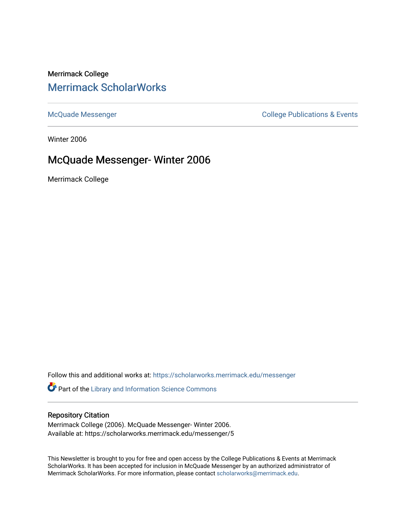# Merrimack College [Merrimack ScholarWorks](https://scholarworks.merrimack.edu/)

[McQuade Messenger](https://scholarworks.merrimack.edu/messenger) College Publications & Events

Winter 2006

# McQuade Messenger- Winter 2006

Merrimack College

Follow this and additional works at: [https://scholarworks.merrimack.edu/messenger](https://scholarworks.merrimack.edu/messenger?utm_source=scholarworks.merrimack.edu%2Fmessenger%2F5&utm_medium=PDF&utm_campaign=PDFCoverPages) 

Part of the [Library and Information Science Commons](http://network.bepress.com/hgg/discipline/1018?utm_source=scholarworks.merrimack.edu%2Fmessenger%2F5&utm_medium=PDF&utm_campaign=PDFCoverPages) 

#### Repository Citation

Merrimack College (2006). McQuade Messenger- Winter 2006. Available at: https://scholarworks.merrimack.edu/messenger/5

This Newsletter is brought to you for free and open access by the College Publications & Events at Merrimack ScholarWorks. It has been accepted for inclusion in McQuade Messenger by an authorized administrator of Merrimack ScholarWorks. For more information, please contact [scholarworks@merrimack.edu](mailto:scholarworks@merrimack.edu).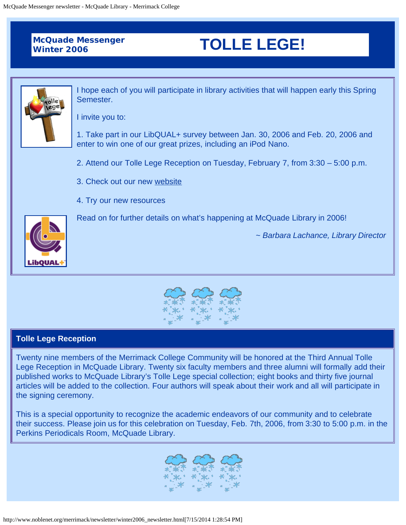# **McQuade Messenger**

# **Winter 2006 TOLLE LEGE!**



I hope each of you will participate in library activities that will happen early this Spring Semester.

I invite you to:

1. Take part in our LibQUAL+ survey between Jan. 30, 2006 and Feb. 20, 2006 and enter to win one of our great prizes, including an iPod Nano.

- 2. Attend our Tolle Lege Reception on Tuesday, February 7, from 3:30 5:00 p.m.
- 3. Check out our new [website](http://www.noblenet.org/merrimack/)
- 4. Try our new resources

Read on for further details on what's happening at McQuade Library in 2006!

*~ Barbara Lachance, Library Director*





## **Tolle Lege Reception**

Twenty nine members of the Merrimack College Community will be honored at the Third Annual Tolle Lege Reception in McQuade Library. Twenty six faculty members and three alumni will formally add their published works to McQuade Library's Tolle Lege special collection; eight books and thirty five journal articles will be added to the collection. Four authors will speak about their work and all will participate in the signing ceremony.

This is a special opportunity to recognize the academic endeavors of our community and to celebrate their success. Please join us for this celebration on Tuesday, Feb. 7th, 2006, from 3:30 to 5:00 p.m. in the Perkins Periodicals Room, McQuade Library.

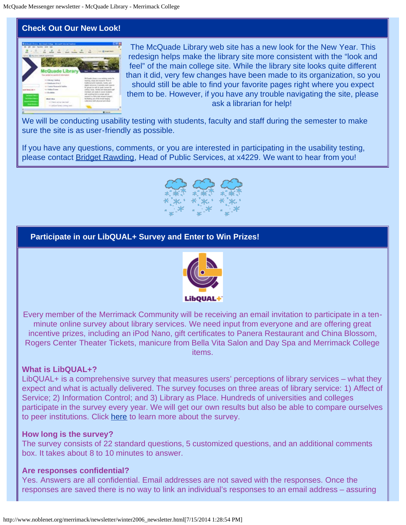# **Check Out Our New Look!**



The McQuade Library web site has a new look for the New Year. This redesign helps make the library site more consistent with the "look and feel" of the main college site. While the library site looks quite different than it did, very few changes have been made to its organization, so you should still be able to find your favorite pages right where you expect them to be. However, if you have any trouble navigating the site, please ask a librarian for help!

We will be conducting usability testing with students, faculty and staff during the semester to make sure the site is as user-friendly as possible.

If you have any questions, comments, or you are interested in participating in the usability testing, please contact [Bridget Rawding,](mailto:%20bridget.rawding@merrimack.edu) Head of Public Services, at x4229. We want to hear from you!



## **Participate in our LibQUAL+ Survey and Enter to Win Prizes!**



Every member of the Merrimack Community will be receiving an email invitation to participate in a tenminute online survey about library services. We need input from everyone and are offering great incentive prizes, including an iPod Nano, gift certificates to Panera Restaurant and China Blossom, Rogers Center Theater Tickets, manicure from Bella Vita Salon and Day Spa and Merrimack College items.

## **What is LibQUAL+?**

LibQUAL+ is a comprehensive survey that measures users' perceptions of library services – what they expect and what is actually delivered. The survey focuses on three areas of library service: 1) Affect of Service; 2) Information Control; and 3) Library as Place. Hundreds of universities and colleges participate in the survey every year. We will get our own results but also be able to compare ourselves to peer institutions. Click [here](http://www.noblenet.org/merrimack/libqual.htm) to learn more about the survey.

#### **How long is the survey?**

The survey consists of 22 standard questions, 5 customized questions, and an additional comments box. It takes about 8 to 10 minutes to answer.

## **Are responses confidential?**

Yes. Answers are all confidential. Email addresses are not saved with the responses. Once the responses are saved there is no way to link an individual's responses to an email address – assuring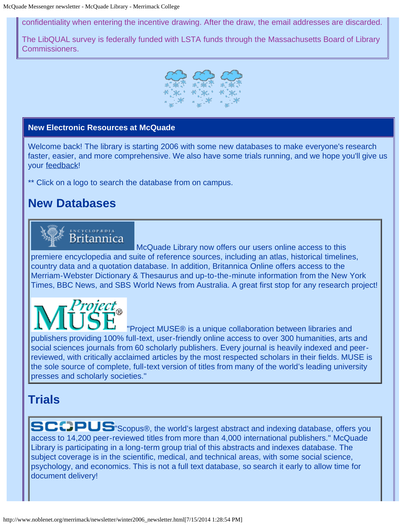confidentiality when entering the incentive drawing. After the draw, the email addresses are discarded.

The LibQUAL survey is federally funded with LSTA funds through the Massachusetts Board of Library Commissioners.



## **New Electronic Resources at McQuade**

Welcome back! The library is starting 2006 with some new databases to make everyone's research faster, easier, and more comprehensive. We also have some trials running, and we hope you'll give us your [feedback](mailto:%20kathryn.geoffrionscannell@merrimack.edu)!

\*\* Click on a logo to search the database from on campus.

# **New Databases**



McQuade Library now offers our users online access to this premiere encyclopedia and suite of reference sources, including an atlas, historical timelines, country data and a quotation database. In addition, Britannica Online offers access to the Merriam-Webster Dictionary & Thesaurus and up-to-the-minute information from the New York Times, BBC News, and SBS World News from Australia. A great first stop for any research project!

roject <sub>o</sub>

["](http://muse.jhu.edu/search/search.cgi)Project MUSE® is a unique collaboration between libraries and publishers providing 100% full-text, user-friendly online access to over 300 humanities, arts and social sciences journals from 60 scholarly publishers. Every journal is heavily indexed and peerreviewed, with critically acclaimed articles by the most respected scholars in their fields. MUSE is the sole source of complete, full-text version of titles from many of the world's leading university presses and scholarly societies."

# **Trials**

SCCPUS Scopus®, the world's largest abstract and indexing database, offers you access to 14,200 peer-reviewed titles from more than 4,000 international publishers." McQuade Library is participating in a long-term group trial of this abstracts and indexes database. The subject coverage is in the scientific, medical, and technical areas, with some social science, psychology, and economics. This is not a full text database, so search it early to allow time for document delivery!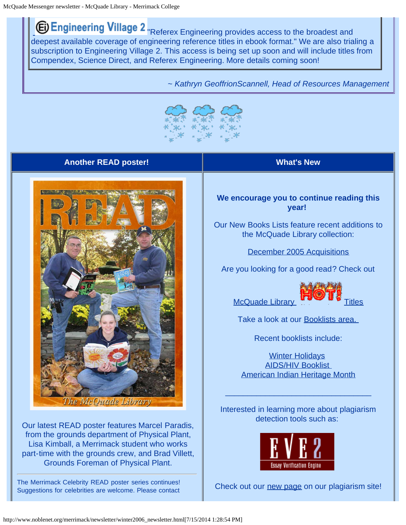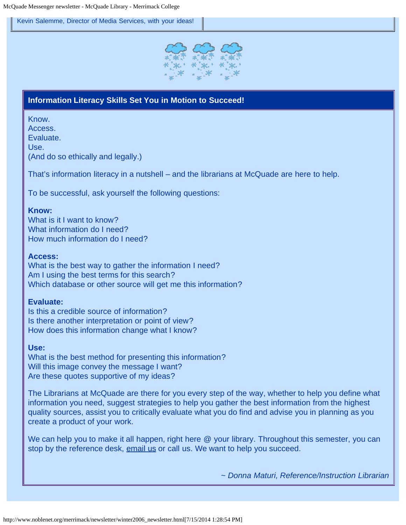[Kevin Salemme,](mailto:kevin.salemme@Merrimack.edu) Director of Media Services, with your ideas!



## **Information Literacy Skills Set You in Motion to Succeed!**

Know.

Access.

Evaluate. Use.

(And do so ethically and legally.)

That's information literacy in a nutshell – and the librarians at McQuade are here to help.

To be successful, ask yourself the following questions:

#### **Know:**

What is it I want to know? What information do I need? How much information do I need?

#### **Access:**

What is the best way to gather the information I need? Am I using the best terms for this search? Which database or other source will get me this information?

#### **Evaluate:**

Is this a credible source of information? Is there another interpretation or point of view? How does this information change what I know?

#### **Use:**

What is the best method for presenting this information? Will this image convey the message I want? Are these quotes supportive of my ideas?

The Librarians at McQuade are there for you every step of the way, whether to help you define what information you need, suggest strategies to help you gather the best information from the highest quality sources, assist you to critically evaluate what you do find and advise you in planning as you create a product of your work.

We can help you to make it all happen, right here @ your library. Throughout this semester, you can stop by the reference desk, [email us](mailto:%20merref@noblenet.org) or call us. We want to help you succeed.

*~ Donna Maturi, Reference/Instruction Librarian*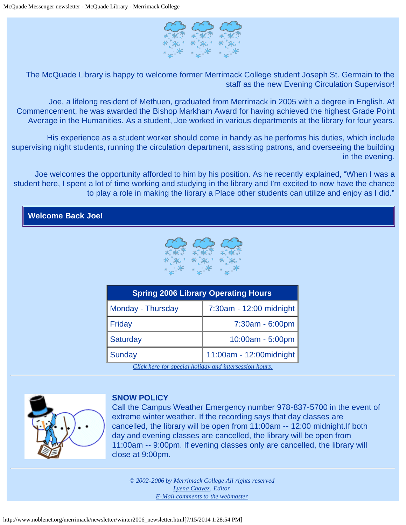

The McQuade Library is happy to welcome former Merrimack College student Joseph St. Germain to the staff as the new Evening Circulation Supervisor!

Joe, a lifelong resident of Methuen, graduated from Merrimack in 2005 with a degree in English. At Commencement, he was awarded the Bishop Markham Award for having achieved the highest Grade Point Average in the Humanities. As a student, Joe worked in various departments at the library for four years.

His experience as a student worker should come in handy as he performs his duties, which include supervising night students, running the circulation department, assisting patrons, and overseeing the building in the evening.

Joe welcomes the opportunity afforded to him by his position. As he recently explained, "When I was a student here, I spent a lot of time working and studying in the library and I'm excited to now have the chance to play a role in making the library a Place other students can utilize and enjoy as I did."





| <b>Spring 2006 Library Operating Hours</b> |                          |
|--------------------------------------------|--------------------------|
| Monday - Thursday                          | 7:30am - 12:00 midnight  |
| Friday                                     | 7:30am - 6:00pm          |
| <b>Saturday</b>                            | 10:00am - 5:00pm         |
| Sunday                                     | 11:00am - 12:00 midnight |

*[Click here for special holiday and intersession hours.](http://www.noblenet.org/merrimack/hours.htm#2)*



#### **SNOW POLICY**

Call the Campus Weather Emergency number 978-837-5700 in the event of extreme winter weather. If the recording says that day classes are cancelled, the library will be open from 11:00am -- 12:00 midnight.If both day and evening classes are cancelled, the library will be open from 11:00am -- 9:00pm. If evening classes only are cancelled, the library will close at 9:00pm.

*© 2002-2006 by Merrimack College All rights reserved [Lyena Chavez,](mailto:%20lyena.chavez@merrimack.edu) Editor [E-Mail comments to the webmaster](mailto:bridget.rawding@merrimack.edu)*